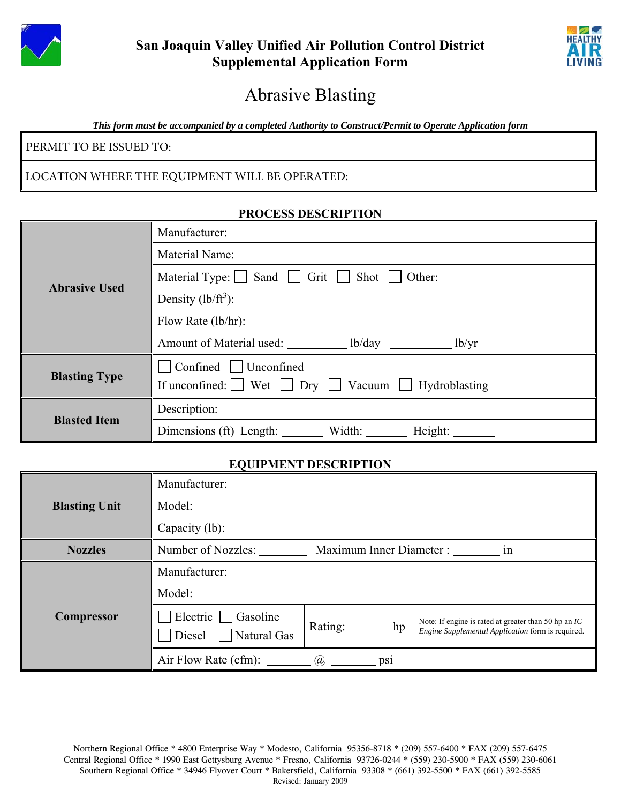



# Abrasive Blasting

*This form must be accompanied by a completed Authority to Construct/Permit to Operate Application form* 

PERMIT TO BE ISSUED TO:

### LOCATION WHERE THE EQUIPMENT WILL BE OPERATED:

#### **PROCESS DESCRIPTION**

| <b>Abrasive Used</b> | Manufacturer:                                                                                                |  |  |
|----------------------|--------------------------------------------------------------------------------------------------------------|--|--|
|                      | Material Name:                                                                                               |  |  |
|                      | Material Type: $\Box$ Sand<br>Grit    <br>Shot  <br>Other:                                                   |  |  |
|                      | Density $(lb/ft^3)$ :                                                                                        |  |  |
|                      | Flow Rate (lb/hr):                                                                                           |  |  |
|                      | Amount of Material used: lb/day __________ lb/yr                                                             |  |  |
| <b>Blasting Type</b> | $\Box$ Confined $\Box$ Unconfined<br>If unconfined: $\Box$ Wet $\Box$ Dry $\Box$ Vacuum $\Box$ Hydroblasting |  |  |
| <b>Blasted Item</b>  | Description:                                                                                                 |  |  |
|                      | Dimensions (ft) Length: Width: Height:                                                                       |  |  |

#### **EQUIPMENT DESCRIPTION**

|                                | Manufacturer:                                             |                                                                                                                                     |  |  |  |
|--------------------------------|-----------------------------------------------------------|-------------------------------------------------------------------------------------------------------------------------------------|--|--|--|
| Model:<br><b>Blasting Unit</b> |                                                           |                                                                                                                                     |  |  |  |
|                                | Capacity (lb):                                            |                                                                                                                                     |  |  |  |
| <b>Nozzles</b>                 | Number of Nozzles:<br>Maximum Inner Diameter :<br>1n      |                                                                                                                                     |  |  |  |
|                                | Manufacturer:                                             |                                                                                                                                     |  |  |  |
|                                | Model:                                                    |                                                                                                                                     |  |  |  |
| <b>Compressor</b>              | $]$ Electric $\Box$ Gasoline<br>Diesel $\Box$ Natural Gas | Note: If engine is rated at greater than 50 hp an $IC$<br>Rating: $\_\_$<br>hp<br>Engine Supplemental Application form is required. |  |  |  |
|                                | Air Flow Rate (cfm): $\qquad \qquad$ ( $\alpha$ )         | DS1                                                                                                                                 |  |  |  |